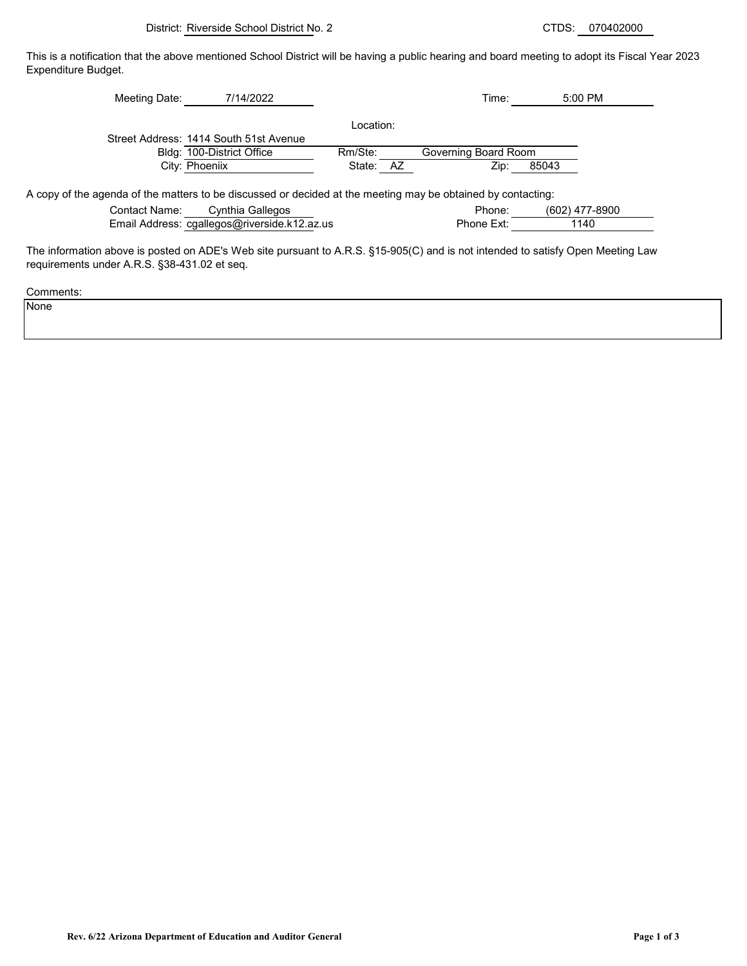This is a notification that the above mentioned School District will be having a public hearing and board meeting to adopt its Fiscal Year 2023 Expenditure Budget.

| Meeting Date:                                                                                                                 | 7/14/2022                              |           |     | Time:                | 5:00 PM        |
|-------------------------------------------------------------------------------------------------------------------------------|----------------------------------------|-----------|-----|----------------------|----------------|
|                                                                                                                               |                                        | Location: |     |                      |                |
|                                                                                                                               | Street Address: 1414 South 51st Avenue |           |     |                      |                |
|                                                                                                                               | Bldg: 100-District Office              | Rm/Ste:   |     | Governing Board Room |                |
|                                                                                                                               |                                        |           |     |                      |                |
| City: Phoeniix                                                                                                                |                                        | State:    | AZ. | Zip:                 | 85043          |
| A copy of the agenda of the matters to be discussed or decided at the meeting may be obtained by contacting:<br>Contact Name: | Cynthia Gallegos                       |           |     | Phone:               | (602) 477-8900 |

The information above is posted on ADE's Web site pursuant to A.R.S. §15-905(C) and is not intended to satisfy Open Meeting Law requirements under A.R.S. §38-431.02 et seq.

Comments:

None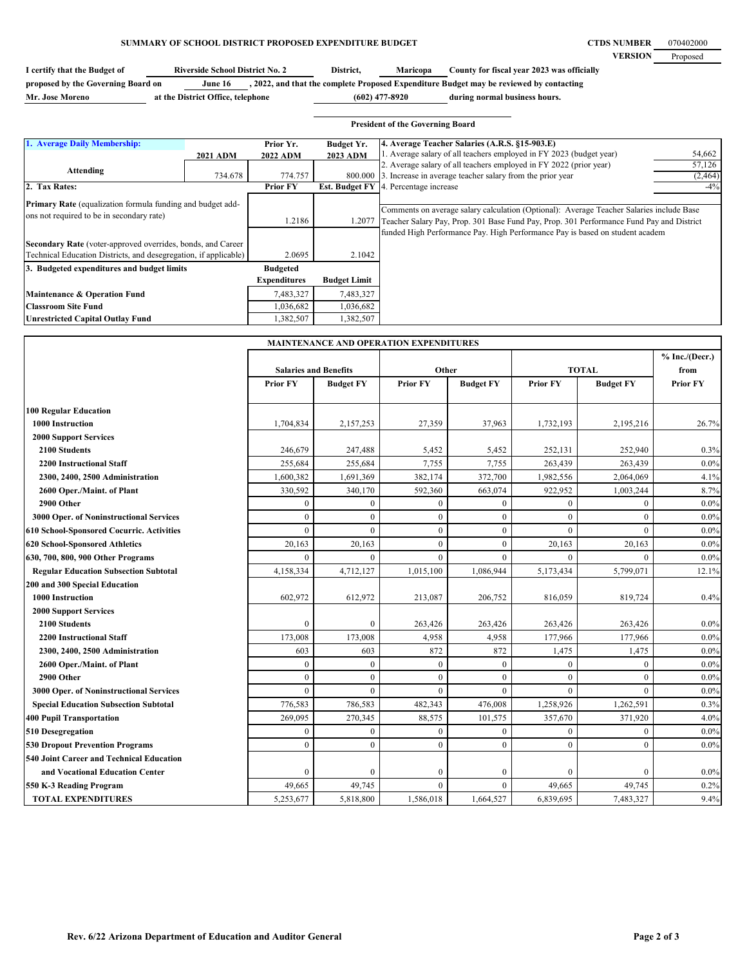**CTDS NUMBER VERSION** Proposed 070402000

| I certify that the Budget of       | <b>Riverside School District No. 2</b> | District,        | <b>Maricopa</b> | County for fiscal year 2023 was officially                                              |
|------------------------------------|----------------------------------------|------------------|-----------------|-----------------------------------------------------------------------------------------|
| proposed by the Governing Board on | June 16                                |                  |                 | , 2022, and that the complete Proposed Expenditure Budget may be reviewed by contacting |
| Mr. Jose Moreno                    | at the District Office, telephone      | $(602)$ 477-8920 |                 | during normal business hours.                                                           |

|                                                                                                                                                                                                                                            |                     |                                        |                                          | <b>President of the Governing Board</b>                                                                                                                                                                                                                              |                              |
|--------------------------------------------------------------------------------------------------------------------------------------------------------------------------------------------------------------------------------------------|---------------------|----------------------------------------|------------------------------------------|----------------------------------------------------------------------------------------------------------------------------------------------------------------------------------------------------------------------------------------------------------------------|------------------------------|
| 1. Average Daily Membership:<br>Attending                                                                                                                                                                                                  | 2021 ADM<br>734.678 | Prior Yr.<br>2022 ADM<br>774.757       | <b>Budget Yr.</b><br>2023 ADM<br>800.000 | 4. Average Teacher Salaries (A.R.S. §15-903.E)<br>. Average salary of all teachers employed in FY 2023 (budget year)<br>2. Average salary of all teachers employed in FY 2022 (prior year)<br>3. Increase in average teacher salary from the prior year              | 54,662<br>57,126<br>(2, 464) |
| 2. Tax Rates:                                                                                                                                                                                                                              |                     | <b>Prior FY</b>                        | <b>Est. Budget FY</b>                    | 4. Percentage increase                                                                                                                                                                                                                                               | $-4\%$                       |
| Primary Rate (equalization formula funding and budget add-<br>ons not required to be in secondary rate)<br>Secondary Rate (voter-approved overrides, bonds, and Career<br>Technical Education Districts, and desegregation, if applicable) |                     | 1.2186<br>2.0695                       | 1.2077<br>2.1042                         | Comments on average salary calculation (Optional): Average Teacher Salaries include Base<br>Teacher Salary Pay, Prop. 301 Base Fund Pay, Prop. 301 Performance Fund Pay and District<br>funded High Performance Pay. High Performance Pay is based on student academ |                              |
| 3. Budgeted expenditures and budget limits                                                                                                                                                                                                 |                     | <b>Budgeted</b><br><b>Expenditures</b> | <b>Budget Limit</b>                      |                                                                                                                                                                                                                                                                      |                              |
| <b>Maintenance &amp; Operation Fund</b>                                                                                                                                                                                                    |                     | 7,483,327                              | 7,483,327                                |                                                                                                                                                                                                                                                                      |                              |
| <b>Classroom Site Fund</b>                                                                                                                                                                                                                 |                     | 1,036,682                              | 1,036,682                                |                                                                                                                                                                                                                                                                      |                              |
| <b>Unrestricted Capital Outlay Fund</b>                                                                                                                                                                                                    |                     | 1,382,507                              | 1,382,507                                |                                                                                                                                                                                                                                                                      |                              |

|                                              | <b>MAINTENANCE AND OPERATION EXPENDITURES</b> |                  |                 |                  |                 |                  |                          |
|----------------------------------------------|-----------------------------------------------|------------------|-----------------|------------------|-----------------|------------------|--------------------------|
|                                              | <b>Salaries and Benefits</b>                  |                  | Other           |                  | <b>TOTAL</b>    |                  | % Inc. / (Decr.)<br>from |
|                                              | <b>Prior FY</b>                               | <b>Budget FY</b> | <b>Prior FY</b> | <b>Budget FY</b> | <b>Prior FY</b> | <b>Budget FY</b> | <b>Prior FY</b>          |
| <b>100 Regular Education</b>                 |                                               |                  |                 |                  |                 |                  |                          |
| 1000 Instruction                             | 1,704,834                                     | 2,157,253        | 27,359          | 37,963           | 1,732,193       | 2,195,216        | 26.7%                    |
| <b>2000 Support Services</b>                 |                                               |                  |                 |                  |                 |                  |                          |
| 2100 Students                                | 246,679                                       | 247,488          | 5,452           | 5,452            | 252,131         | 252,940          | 0.3%                     |
| <b>2200 Instructional Staff</b>              | 255,684                                       | 255,684          | 7,755           | 7,755            | 263,439         | 263,439          | $0.0\%$                  |
| 2300, 2400, 2500 Administration              | 1,600,382                                     | 1,691,369        | 382,174         | 372,700          | 1,982,556       | 2,064,069        | 4.1%                     |
| 2600 Oper./Maint. of Plant                   | 330,592                                       | 340,170          | 592,360         | 663,074          | 922,952         | 1,003,244        | 8.7%                     |
| 2900 Other                                   | $\mathbf{0}$                                  | $\mathbf{0}$     | $\mathbf{0}$    | $\mathbf{0}$     | $\mathbf{0}$    | $\mathbf{0}$     | $0.0\%$                  |
| 3000 Oper. of Noninstructional Services      | $\boldsymbol{0}$                              | $\mathbf{0}$     | $\mathbf{0}$    | $\mathbf{0}$     | $\mathbf{0}$    | $\mathbf{0}$     | $0.0\%$                  |
| 610 School-Sponsored Cocurric. Activities    | $\mathbf{0}$                                  | $\theta$         | $\mathbf{0}$    | $\mathbf{0}$     | $\theta$        | $\theta$         | $0.0\%$                  |
| 620 School-Sponsored Athletics               | 20,163                                        | 20,163           | $\theta$        | $\theta$         | 20,163          | 20,163           | $0.0\%$                  |
| 630, 700, 800, 900 Other Programs            | $\theta$                                      | $\theta$         | $\theta$        | $\theta$         | $\theta$        | $\theta$         | $0.0\%$                  |
| <b>Regular Education Subsection Subtotal</b> | 4,158,334                                     | 4,712,127        | 1,015,100       | 1,086,944        | 5,173,434       | 5,799,071        | 12.1%                    |
| 200 and 300 Special Education                |                                               |                  |                 |                  |                 |                  |                          |
| <b>1000 Instruction</b>                      | 602,972                                       | 612,972          | 213,087         | 206,752          | 816,059         | 819,724          | 0.4%                     |
| <b>2000 Support Services</b>                 |                                               |                  |                 |                  |                 |                  |                          |
| 2100 Students                                | $\mathbf{0}$                                  | $\mathbf{0}$     | 263,426         | 263,426          | 263,426         | 263,426          | $0.0\%$                  |
| <b>2200 Instructional Staff</b>              | 173,008                                       | 173,008          | 4,958           | 4,958            | 177,966         | 177,966          | $0.0\%$                  |
| 2300, 2400, 2500 Administration              | 603                                           | 603              | 872             | 872              | 1,475           | 1,475            | $0.0\%$                  |
| 2600 Oper./Maint. of Plant                   | $\mathbf{0}$                                  | $\mathbf{0}$     | $\theta$        | $\theta$         | $\theta$        | $\theta$         | $0.0\%$                  |
| 2900 Other                                   | $\mathbf{0}$                                  | $\mathbf{0}$     | $\overline{0}$  | $\mathbf{0}$     | $\mathbf{0}$    | $\mathbf{0}$     | $0.0\%$                  |
| 3000 Oper. of Noninstructional Services      | $\mathbf{0}$                                  | $\theta$         | $\theta$        | $\theta$         | $\theta$        | $\theta$         | $0.0\%$                  |
| <b>Special Education Subsection Subtotal</b> | 776,583                                       | 786,583          | 482,343         | 476,008          | 1,258,926       | 1,262,591        | 0.3%                     |
| <b>400 Pupil Transportation</b>              | 269,095                                       | 270,345          | 88,575          | 101,575          | 357,670         | 371,920          | 4.0%                     |
| 510 Desegregation                            | $\mathbf{0}$                                  | $\mathbf{0}$     | $\mathbf{0}$    | $\mathbf{0}$     | $\mathbf{0}$    | $\mathbf{0}$     | $0.0\%$                  |
| <b>530 Dropout Prevention Programs</b>       | $\mathbf{0}$                                  | $\theta$         | $\mathbf{0}$    | $\theta$         | $\mathbf{0}$    | $\theta$         | $0.0\%$                  |
| 540 Joint Career and Technical Education     |                                               |                  |                 |                  |                 |                  |                          |
| and Vocational Education Center              | $\mathbf{0}$                                  | $\mathbf{0}$     | $\theta$        | $\mathbf{0}$     | $\theta$        | $\Omega$         | $0.0\%$                  |
| 550 K-3 Reading Program                      | 49,665                                        | 49,745           | $\theta$        | $\theta$         | 49,665          | 49,745           | 0.2%                     |
| <b>TOTAL EXPENDITURES</b>                    | 5,253,677                                     | 5,818,800        | 1,586,018       | 1,664,527        | 6,839,695       | 7,483,327        | 9.4%                     |